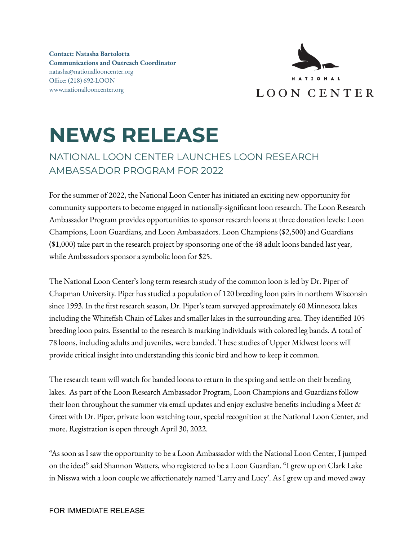**Contact: Natasha Bartolotta Communications and Outreach Coordinator** natasha@nationallooncenter.org Office: (218) 692-LOON www.nationallooncenter.org



## **NEWS RELEASE**

## NATIONAL LOON CENTER LAUNCHES LOON RESEARCH AMBASSADOR PROGRAM FOR 2022

For the summer of 2022, the National Loon Center has initiated an exciting new opportunity for community supporters to become engaged in nationally-significant loon research. The Loon Research Ambassador Program provides opportunities to sponsor research loons at three donation levels: Loon Champions, Loon Guardians, and Loon Ambassadors. Loon Champions (\$2,500) and Guardians (\$1,000) take part in the research project by sponsoring one of the 48 adult loons banded last year, while Ambassadors sponsor a symbolic loon for \$25.

The National Loon Center's long term research study of the common loon is led by Dr. Piper of Chapman University. Piper has studied a population of 120 breeding loon pairs in northern Wisconsin since 1993. In the first research season, Dr. Piper's team surveyed approximately 60 Minnesota lakes including the Whitefish Chain of Lakes and smaller lakes in the surrounding area. They identified 105 breeding loon pairs. Essential to the research is marking individuals with colored leg bands. A total of 78 loons, including adults and juveniles, were banded. These studies of Upper Midwest loons will provide critical insight into understanding this iconic bird and how to keep it common.

The research team will watch for banded loons to return in the spring and settle on their breeding lakes. As part of the Loon Research Ambassador Program, Loon Champions and Guardians follow their loon throughout the summer via email updates and enjoy exclusive benefits including a Meet & Greet with Dr. Piper, private loon watching tour, special recognition at the National Loon Center, and more. Registration is open through April 30, 2022.

"As soon as I saw the opportunity to be a Loon Ambassador with the National Loon Center, I jumped on the idea!" said Shannon Watters, who registered to be a Loon Guardian. "I grew up on Clark Lake in Nisswa with a loon couple we affectionately named 'Larry and Lucy'. As I grew up and moved away